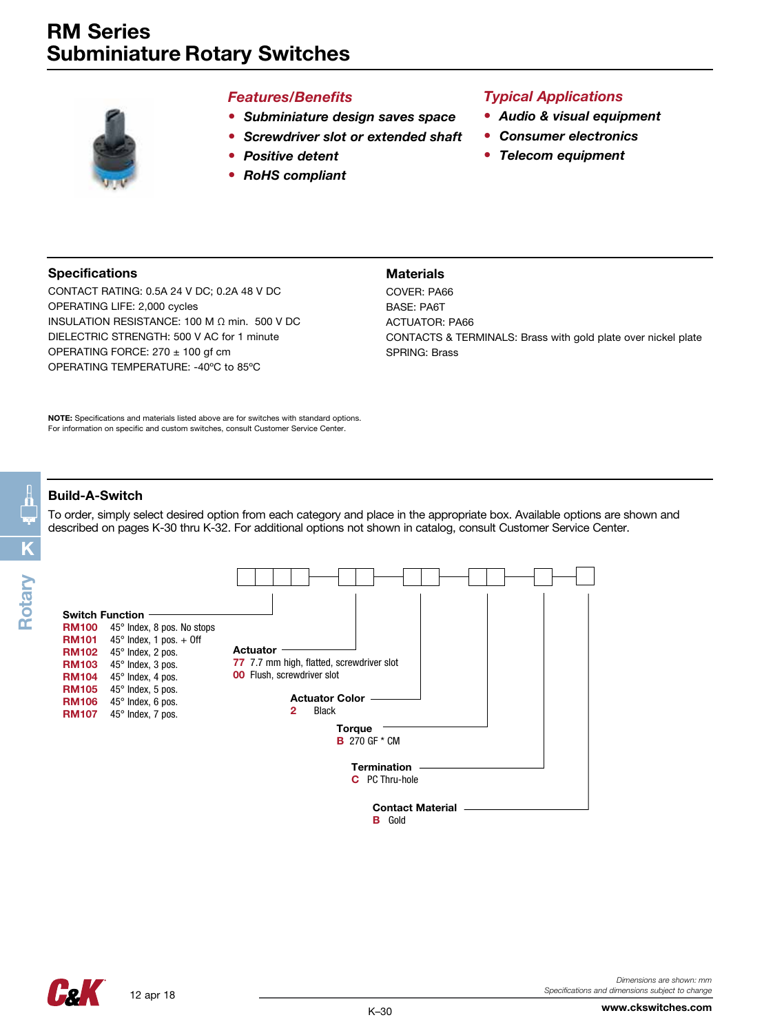

#### *Features/Benefits*

- *• Subminiature design saves space*
- *• Screwdriver slot or extended shaft*

**Materials** 

- *• Positive detent*
- *• RoHS compliant*

### *Typical Applications*

- *• Audio & visual equipment*
- *• Consumer electronics*
- *• Telecom equipment*

#### Specifications

CONTACT RATING: 0.5A 24 V DC; 0.2A 48 V DC OPERATING LIFE: 2,000 cycles INSULATION RESISTANCE: 100 M Ω min. 500 V DC DIELECTRIC STRENGTH: 500 V AC for 1 minute OPERATING FORCE: 270 ± 100 gf cm OPERATING TEMPERATURE: -40ºC to 85ºC

COVER: PA66 BASE: PA6T ACTUATOR: PA66 CONTACTS & TERMINALS: Brass with gold plate over nickel plate SPRING: Brass

NOTE: Specifications and materials listed above are for switches with standard options. For information on specific and custom switches, consult Customer Service Center.

#### Build-A-Switch

To order, simply select desired option from each category and place in the appropriate box. Available options are shown and described on pages K-30 thru K-32. For additional options not shown in catalog, consult Customer Service Center.



www.ckswitches.com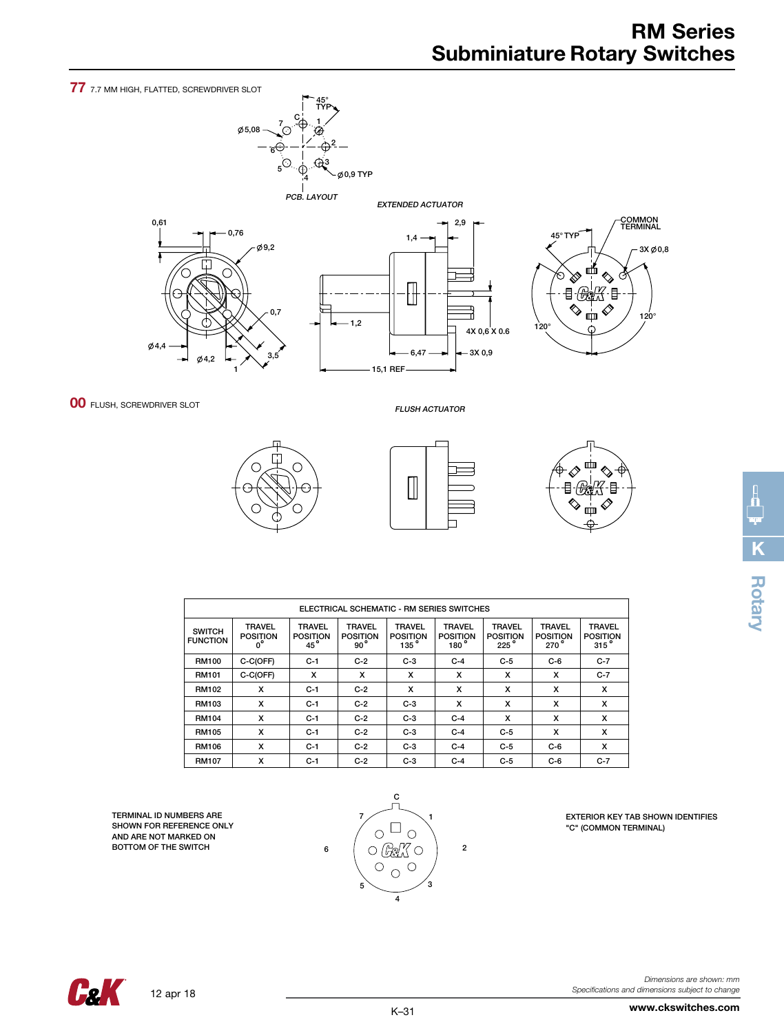77 7.7 MM HIGH, FLATTED, SCREWDRIVER SLOT

0,61



1,4 0,76



 $-1,2$ 



**00 FLUSH, SCREWDRIVER SLOT** 

 $0,4,4$ 

4,2

1

FLUSH ACTUATOR

6,47

 $\mathbb H$ 

15,1 REF

4X 0,6 X 0.6

3X 0,9

2,9



3,5

0,7

 $\phi$ 9,2

 $\Box$ 



| ELECTRICAL SCHEMATIC - RM SERIES SWITCHES |                                                           |                                                  |                                                  |                                                      |                                                      |                                          |                                         |                                             |
|-------------------------------------------|-----------------------------------------------------------|--------------------------------------------------|--------------------------------------------------|------------------------------------------------------|------------------------------------------------------|------------------------------------------|-----------------------------------------|---------------------------------------------|
| <b>SWITCH</b><br><b>FUNCTION</b>          | <b>TRAVEL</b><br><b>POSITION</b><br>$\bullet$<br>$\Omega$ | <b>TRAVEL</b><br><b>POSITION</b><br>$45^{\circ}$ | <b>TRAVEL</b><br><b>POSITION</b><br>$90^{\circ}$ | <b>TRAVEL</b><br><b>POSITION</b><br>135 <sup>o</sup> | <b>TRAVEL</b><br><b>POSITION</b><br>180 <sup>'</sup> | <b>TRAVEL</b><br><b>POSITION</b><br>225° | <b>TRAVEL</b><br><b>POSITION</b><br>270 | <b>TRAVEL</b><br><b>POSITION</b><br>$315$ ° |
| <b>RM100</b>                              | C-C(OFF)                                                  | $C-1$                                            | $C-2$                                            | $C-3$                                                | $C-4$                                                | $C-5$                                    | $C-6$                                   | $C-7$                                       |
| RM101                                     | C-C(OFF)                                                  | x                                                | x                                                | x                                                    | x                                                    | x                                        | x                                       | $C-7$                                       |
| <b>RM102</b>                              | x                                                         | $C-1$                                            | $C-2$                                            | x                                                    | x                                                    | x                                        | x                                       | x                                           |
| RM103                                     | x                                                         | $C-1$                                            | $C-2$                                            | $C-3$                                                | x                                                    | x                                        | x                                       | x                                           |
| <b>RM104</b>                              | x                                                         | $C-1$                                            | $C-2$                                            | $C-3$                                                | $C-4$                                                | x                                        | x                                       | x                                           |
| <b>RM105</b>                              | x                                                         | $C-1$                                            | $C-2$                                            | $C-3$                                                | $C-4$                                                | $C-5$                                    | x                                       | x                                           |
| <b>RM106</b>                              | x                                                         | $C-1$                                            | $C-2$                                            | $C-3$                                                | $C-4$                                                | $C-5$                                    | $C-6$                                   | x                                           |
| <b>RM107</b>                              | x                                                         | $C-1$                                            | $C-2$                                            | $C-3$                                                | $C-4$                                                | $C-5$                                    | $C-6$                                   | $C-7$                                       |

TERMINAL ID NUMBERS ARE SHOWN FOR REFERENCE ONLY AND ARE NOT MARKED ON BOTTOM OF THE SWITCH



EXTERIOR KEY TAB SHOWN IDENTIFIES "C" (COMMON TERMINAL)

**Cak** 

12 apr 18

*Dimensions are shown: mm Specifications and dimensions subject to change* **K**

**Rotary**